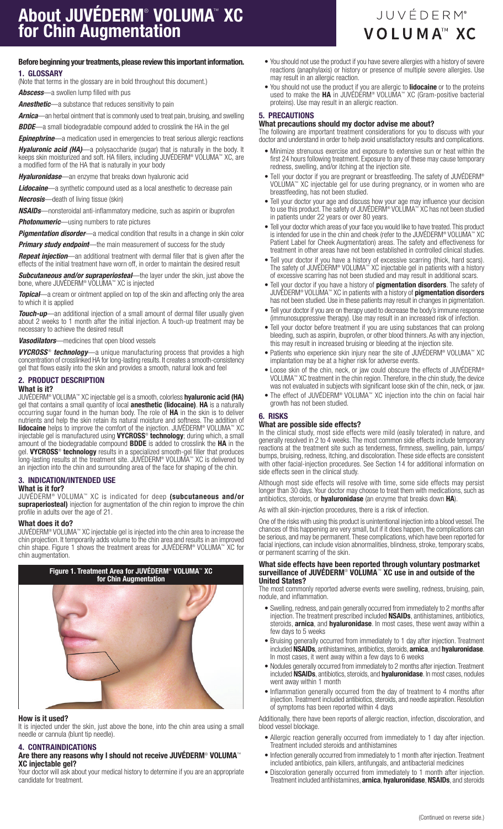# Before beginning your treatments, please review this important information. 1. GLOSSARY

(Note that terms in the glossary are in bold throughout this document.)

*Abscess*—a swollen lump filled with pus

*Anesthetic*—a substance that reduces sensitivity to pain

*Arnica*—an herbal ointment that is commonly used to treat pain, bruising, and swelling *BDDE*—a small biodegradable compound added to crosslink the HA in the gel

*Epinephrine*—a medication used in emergencies to treat serious allergic reactions

*Hyaluronic acid (HA)*—a polysaccharide (sugar) that is naturally in the body. It keeps skin moisturized and soft. HA fillers, including JUVÉDERM® VOLUMA™ XC, are a modified form of the HA that is naturally in your body

*Hyaluronidase*—an enzyme that breaks down hyaluronic acid

*Lidocaine*—a synthetic compound used as a local anesthetic to decrease pain *Necrosis*—death of living tissue (skin)

*NSAIDs*—nonsteroidal anti-inflammatory medicine, such as aspirin or ibuprofen **Photonumeric**—using numbers to rate pictures

*Pigmentation disorder*—a medical condition that results in a change in skin color *Primary study endpoint*—the main measurement of success for the study

*Repeat injection*—an additional treatment with dermal filler that is given after the effects of the initial treatment have worn off, in order to maintain the desired result

*Subcutaneous and/or supraperiosteal*—the layer under the skin, just above the bone, where JUVÉDERM® VOLUMA™ XC is injected

**Topical**—a cream or ointment applied on top of the skin and affecting only the area to which it is applied

*Touch-up*—an additional injection of a small amount of dermal filler usually given about 2 weeks to 1 month after the initial injection. A touch-up treatment may be necessary to achieve the desired result

*Vasodilators*—medicines that open blood vessels

**VYCROSS<sup>®</sup>** *technology*—a unique manufacturing process that provides a high concentration of crosslinked HA for long-lasting results. It creates a smooth-consistency gel that flows easily into the skin and provides a smooth, natural look and feel

# 2. PRODUCT DESCRIPTION What is it?

JUVÉDERM® VOLUMA™ XC injectable gel is a smooth, colorless hyaluronic acid (HA) gel that contains a small quantity of local **anesthetic (lidocaine). HA** is a naturally occurring sugar found in the human body. The role of HA in the skin is to deliver nutrients and help the skin retain its natural moisture and softness. The addition of **lidocaine** helps to improve the comfort of the injection. JUVÉDERM® VOLUMA™ XC injectable gel is manufactured using VYCROSS® technology; during which, a small

amount of the biodegradable compound **BDDE** is added to crosslink the HA in the gel. VYCROSS<sup>®</sup> technology results in a specialized smooth-gel filler that produces long-lasting results at the treatment site. JUVÉDERM® VOLUMA™ XC is delivered by an injection into the chin and surrounding area of the face for shaping of the chin.

# 3. INDICATION/INTENDED USE

# What is it for?

JUVÉDERM® VOLUMA™ XC is indicated for deep (subcutaneous and/or supraperiosteal) injection for augmentation of the chin region to improve the chin profile in adults over the age of 21.

# What does it do?

JUVÉDERM® VOLUMA™ XC injectable gel is injected into the chin area to increase the chin projection. It temporarily adds volume to the chin area and results in an improved chin shape. Figure 1 shows the treatment areas for JUVÉDERM® VOLUMA™ XC for chin augmentation.



#### How is it used?

It is injected under the skin, just above the bone, into the chin area using a small needle or cannula (blunt tip needle).

# 4. CONTRAINDICATIONS

# Are there any reasons why I should not receive JUVÉDERM® VOLUMA™ XC injectable gel?

Your doctor will ask about your medical history to determine if you are an appropriate candidate for treatment.

- You should not use the product if you have severe allergies with a history of severe reactions (anaphylaxis) or history or presence of multiple severe allergies. Use may result in an allergic reaction.
- You should not use the product if you are allergic to lidocaine or to the proteins used to make the **HA** in JUVÉDERM® VOLUMA™ XC (Gram-positive bacterial proteins). Use may result in an allergic reaction.

# 5. PRECAUTIONS

# What precautions should my doctor advise me about?

The following are important treatment considerations for you to discuss with your doctor and understand in order to help avoid unsatisfactory results and complications.

- Minimize strenuous exercise and exposure to extensive sun or heat within the first 24 hours following treatment. Exposure to any of these may cause temporary redness, swelling, and/or itching at the injection site.
- Tell your doctor if you are pregnant or breastfeeding. The safety of JUVÉDERM® VOLUMA™ XC injectable gel for use during pregnancy, or in women who are breastfeeding, has not been studied.
- Tell your doctor your age and discuss how your age may influence your decision to use this product. The safety of JUVÉDERM® VOLUMA™ XC has not been studied in patients under 22 years or over 80 years.
- Tell your doctor which areas of your face you would like to have treated. This product is intended for use in the chin and cheek (refer to the JUVÉDERM® VOLUMA™ XC Patient Label for Cheek Augmentation) areas. The safety and effectiveness for treatment in other areas have not been established in controlled clinical studies.
- Tell your doctor if you have a history of excessive scarring (thick, hard scars). The safety of JUVÉDERM® VOLUMA™ XC injectable gel in patients with a history of excessive scarring has not been studied and may result in additional scars.
- Tell your doctor if you have a history of pigmentation disorders. The safety of JUVÉDERM® VOLUMA™ XC in patients with a history of **pigmentation disorders** has not been studied. Use in these patients may result in changes in pigmentation.
- Tell your doctor if you are on therapy used to decrease the body's immune response (immunosuppressive therapy). Use may result in an increased risk of infection.
- Tell your doctor before treatment if you are using substances that can prolong bleeding, such as aspirin, ibuprofen, or other blood thinners. As with any injection, this may result in increased bruising or bleeding at the injection site.
- Patients who experience skin injury near the site of JUVÉDERM® VOLUMA™ XC implantation may be at a higher risk for adverse events.
- Loose skin of the chin, neck, or jaw could obscure the effects of JUVÉDERM® VOLUMA™ XC treatment in the chin region. Therefore, in the chin study, the device was not evaluated in subjects with significant loose skin of the chin, neck, or jaw.
- The effect of JUVÉDERM® VOLUMA™ XC injection into the chin on facial hair growth has not been studied.

# 6. RISKS

# What are possible side effects?

In the clinical study, most side effects were mild (easily tolerated) in nature, and generally resolved in 2 to 4 weeks. The most common side effects include temporary reactions at the treatment site such as tenderness, firmness, swelling, pain, lumps/ bumps, bruising, redness, itching, and discoloration. These side effects are consistent with other facial-injection procedures. See Section 14 for additional information on side effects seen in the clinical study.

Although most side effects will resolve with time, some side effects may persist longer than 30 days. Your doctor may choose to treat them with medications, such as antibiotics, steroids, or **hyaluronidase** (an enzyme that breaks down **HA**).

As with all skin-injection procedures, there is a risk of infection.

One of the risks with using this product is unintentional injection into a blood vessel. The chances of this happening are very small, but if it does happen, the complications can be serious, and may be permanent. These complications, which have been reported for facial injections, can include vision abnormalities, blindness, stroke, temporary scabs, or permanent scarring of the skin.

#### What side effects have been reported through voluntary postmarket surveillance of JUVÉDERM® VOLUMA™ XC use in and outside of the United States?

The most commonly reported adverse events were swelling, redness, bruising, pain, nodule, and inflammation.

- Swelling, redness, and pain generally occurred from immediately to 2 months after injection. The treatment prescribed included NSAIDs, antihistamines, antibiotics, steroids, **arnica**, and **hyaluronidase**. In most cases, these went away within a few days to 5 weeks
- Bruising generally occurred from immediately to 1 day after injection. Treatment included NSAIDs, antihistamines, antibiotics, steroids, arnica, and hyaluronidase. In most cases, it went away within a few days to 6 weeks
- Nodules generally occurred from immediately to 2 months after injection. Treatment included NSAIDs, antibiotics, steroids, and hyaluronidase. In most cases, nodules went away within 1 month
- Inflammation generally occurred from the day of treatment to 4 months after injection. Treatment included antibiotics, steroids, and needle aspiration. Resolution of symptoms has been reported within 4 days

Additionally, there have been reports of allergic reaction, infection, discoloration, and blood vessel blockage.

- Allergic reaction generally occurred from immediately to 1 day after injection. Treatment included steroids and antihistamines
- Infection generally occurred from immediately to 1 month after injection. Treatment included antibiotics, pain killers, antifungals, and antibacterial medicines
- Discoloration generally occurred from immediately to 1 month after injection. Treatment included antihistamines, **arnica, hyaluronidase, NSAIDs**, and steroids

# **JUVÉDERM®** VOLUMA<sup>™</sup> XC